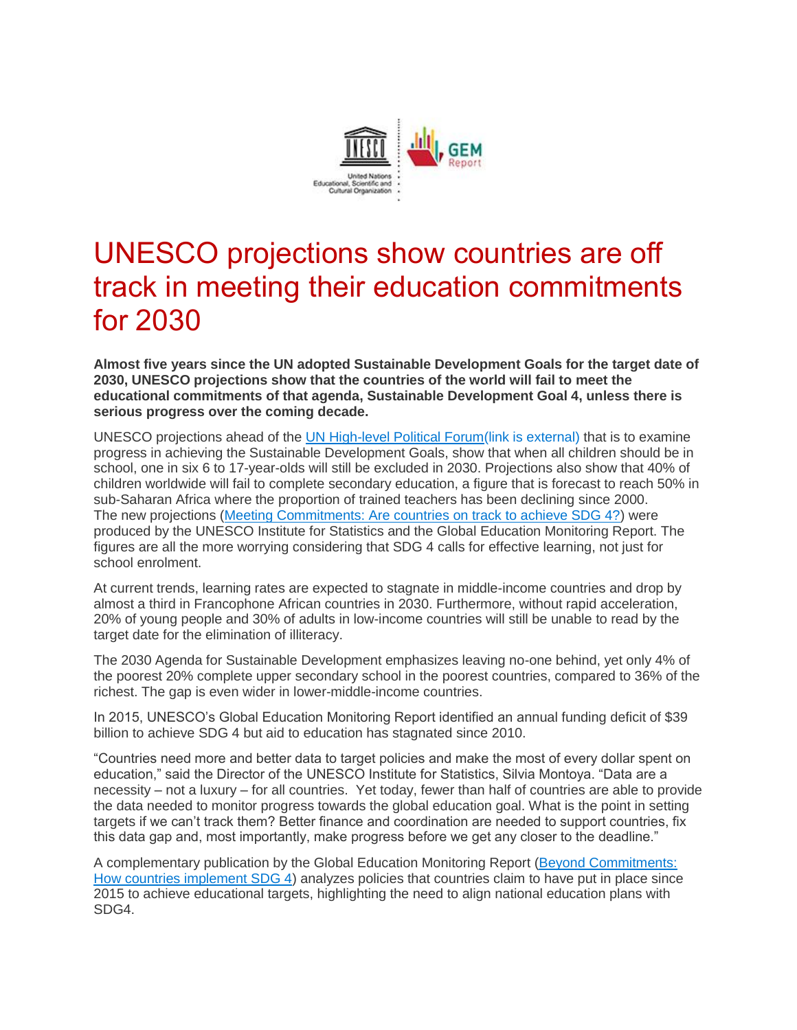

## UNESCO projections show countries are off track in meeting their education commitments for 2030

**Almost five years since the UN adopted Sustainable Development Goals for the target date of 2030, UNESCO projections show that the countries of the world will fail to meet the educational commitments of that agenda, Sustainable Development Goal 4, unless there is serious progress over the coming decade.**

UNESCO projections ahead of the [UN High-level Political Forum\(link is external\)](https://sustainabledevelopment.un.org/hlpf/2019) that is to examine progress in achieving the Sustainable Development Goals, show that when all children should be in school, one in six 6 to 17-year-olds will still be excluded in 2030. Projections also show that 40% of children worldwide will fail to complete secondary education, a figure that is forecast to reach 50% in sub-Saharan Africa where the proportion of trained teachers has been declining since 2000. The new projections [\(Meeting Commitments: Are countries on track to achieve SDG 4?\)](https://unesdoc.unesco.org/ark:/48223/pf0000369009) were produced by the UNESCO Institute for Statistics and the Global Education Monitoring Report. The figures are all the more worrying considering that SDG 4 calls for effective learning, not just for school enrolment.

At current trends, learning rates are expected to stagnate in middle-income countries and drop by almost a third in Francophone African countries in 2030. Furthermore, without rapid acceleration, 20% of young people and 30% of adults in low-income countries will still be unable to read by the target date for the elimination of illiteracy.

The 2030 Agenda for Sustainable Development emphasizes leaving no-one behind, yet only 4% of the poorest 20% complete upper secondary school in the poorest countries, compared to 36% of the richest. The gap is even wider in lower-middle-income countries.

In 2015, UNESCO's Global Education Monitoring Report identified an annual funding deficit of \$39 billion to achieve SDG 4 but aid to education has stagnated since 2010.

"Countries need more and better data to target policies and make the most of every dollar spent on education," said the Director of the UNESCO Institute for Statistics, Silvia Montoya. "Data are a necessity – not a luxury – for all countries. Yet today, fewer than half of countries are able to provide the data needed to monitor progress towards the global education goal. What is the point in setting targets if we can't track them? Better finance and coordination are needed to support countries, fix this data gap and, most importantly, make progress before we get any closer to the deadline."

A complementary publication by the Global Education Monitoring Report [\(Beyond Commitments:](https://en.unesco.org/gem-report/sites/gem-report/files/UNESCO-2019-HLPF_Beyond-en-v7.pdf)  [How countries implement SDG 4\)](https://en.unesco.org/gem-report/sites/gem-report/files/UNESCO-2019-HLPF_Beyond-en-v7.pdf) analyzes policies that countries claim to have put in place since 2015 to achieve educational targets, highlighting the need to align national education plans with SDG4.